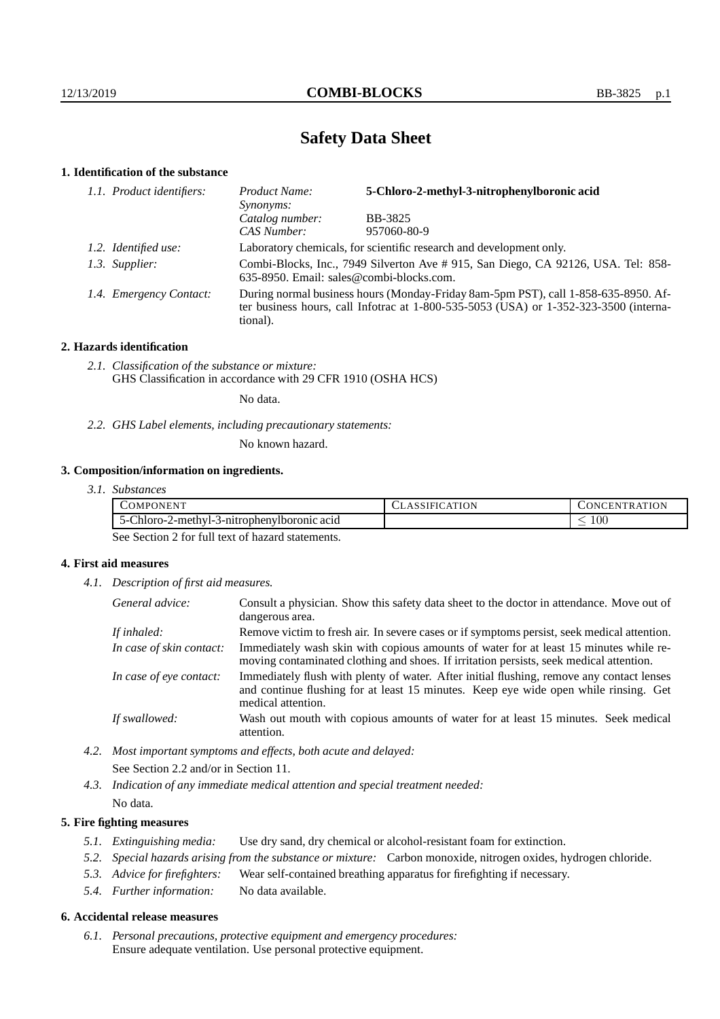# **Safety Data Sheet**

# **1. Identification of the substance**

| 1.1. Product identifiers: | Product Name:<br>Synonyms:                                                                                                                                                                  | 5-Chloro-2-methyl-3-nitrophenylboronic acid |
|---------------------------|---------------------------------------------------------------------------------------------------------------------------------------------------------------------------------------------|---------------------------------------------|
|                           | Catalog number:                                                                                                                                                                             | <b>BB-3825</b>                              |
|                           | CAS Number:                                                                                                                                                                                 | 957060-80-9                                 |
| 1.2. Identified use:      | Laboratory chemicals, for scientific research and development only.                                                                                                                         |                                             |
| 1.3. Supplier:            | Combi-Blocks, Inc., 7949 Silverton Ave # 915, San Diego, CA 92126, USA. Tel: 858-<br>635-8950. Email: sales@combi-blocks.com.                                                               |                                             |
| 1.4. Emergency Contact:   | During normal business hours (Monday-Friday 8am-5pm PST), call 1-858-635-8950. Af-<br>ter business hours, call Infotrac at $1-800-535-5053$ (USA) or $1-352-323-3500$ (interna-<br>tional). |                                             |

### **2. Hazards identification**

*2.1. Classification of the substance or mixture:* GHS Classification in accordance with 29 CFR 1910 (OSHA HCS)

No data.

*2.2. GHS Label elements, including precautionary statements:*

No known hazard.

## **3. Composition/information on ingredients.**

*3.1. Substances*

| .EN"<br>PON<br>.) M                                                    | эN | ATION<br>$\mathbf{N}$<br>⊣ N<br>к |
|------------------------------------------------------------------------|----|-----------------------------------|
| Chlore -<br>3-nitrophenylboronic<br>2-methyl-.<br>acid<br>п. н.<br>י-י |    | 100                               |

See Section 2 for full text of hazard statements.

## **4. First aid measures**

*4.1. Description of first aid measures.*

| General advice:          | Consult a physician. Show this safety data sheet to the doctor in attendance. Move out of<br>dangerous area.                                                                                            |
|--------------------------|---------------------------------------------------------------------------------------------------------------------------------------------------------------------------------------------------------|
| If inhaled:              | Remove victim to fresh air. In severe cases or if symptoms persist, seek medical attention.                                                                                                             |
| In case of skin contact: | Immediately wash skin with copious amounts of water for at least 15 minutes while re-<br>moving contaminated clothing and shoes. If irritation persists, seek medical attention.                        |
| In case of eye contact:  | Immediately flush with plenty of water. After initial flushing, remove any contact lenses<br>and continue flushing for at least 15 minutes. Keep eye wide open while rinsing. Get<br>medical attention. |
| If swallowed:            | Wash out mouth with copious amounts of water for at least 15 minutes. Seek medical<br>attention.                                                                                                        |

*4.2. Most important symptoms and effects, both acute and delayed:* See Section 2.2 and/or in Section 11.

*4.3. Indication of any immediate medical attention and special treatment needed:* No data.

### **5. Fire fighting measures**

- *5.1. Extinguishing media:* Use dry sand, dry chemical or alcohol-resistant foam for extinction.
- *5.2. Special hazards arising from the substance or mixture:* Carbon monoxide, nitrogen oxides, hydrogen chloride.
- *5.3. Advice for firefighters:* Wear self-contained breathing apparatus for firefighting if necessary.
- *5.4. Further information:* No data available.

#### **6. Accidental release measures**

*6.1. Personal precautions, protective equipment and emergency procedures:* Ensure adequate ventilation. Use personal protective equipment.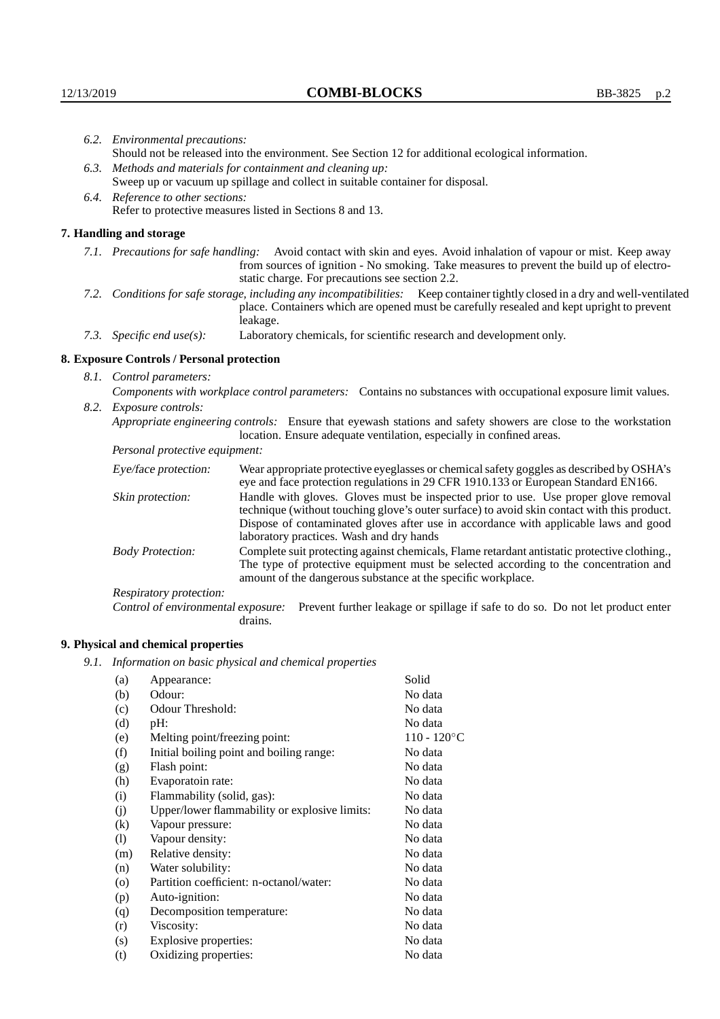|                                                           | 6.2. Environmental precautions:                                                                               |                                                                                                                                                                                                                                                                                                                        |  |  |
|-----------------------------------------------------------|---------------------------------------------------------------------------------------------------------------|------------------------------------------------------------------------------------------------------------------------------------------------------------------------------------------------------------------------------------------------------------------------------------------------------------------------|--|--|
|                                                           | Should not be released into the environment. See Section 12 for additional ecological information.            |                                                                                                                                                                                                                                                                                                                        |  |  |
|                                                           |                                                                                                               | 6.3. Methods and materials for containment and cleaning up:                                                                                                                                                                                                                                                            |  |  |
|                                                           | Sweep up or vacuum up spillage and collect in suitable container for disposal.                                |                                                                                                                                                                                                                                                                                                                        |  |  |
|                                                           | 6.4. Reference to other sections:                                                                             |                                                                                                                                                                                                                                                                                                                        |  |  |
| Refer to protective measures listed in Sections 8 and 13. |                                                                                                               |                                                                                                                                                                                                                                                                                                                        |  |  |
|                                                           | 7. Handling and storage                                                                                       |                                                                                                                                                                                                                                                                                                                        |  |  |
|                                                           |                                                                                                               | 7.1. Precautions for safe handling: Avoid contact with skin and eyes. Avoid inhalation of vapour or mist. Keep away<br>from sources of ignition - No smoking. Take measures to prevent the build up of electro-<br>static charge. For precautions see section 2.2.                                                     |  |  |
|                                                           |                                                                                                               | 7.2. Conditions for safe storage, including any incompatibilities: Keep container tightly closed in a dry and well-ventilated<br>place. Containers which are opened must be carefully resealed and kept upright to prevent<br>leakage.                                                                                 |  |  |
|                                                           | 7.3. Specific end use(s):                                                                                     | Laboratory chemicals, for scientific research and development only.                                                                                                                                                                                                                                                    |  |  |
|                                                           | 8. Exposure Controls / Personal protection                                                                    |                                                                                                                                                                                                                                                                                                                        |  |  |
|                                                           | 8.1. Control parameters:                                                                                      |                                                                                                                                                                                                                                                                                                                        |  |  |
|                                                           | Components with workplace control parameters: Contains no substances with occupational exposure limit values. |                                                                                                                                                                                                                                                                                                                        |  |  |
|                                                           | 8.2. Exposure controls:                                                                                       |                                                                                                                                                                                                                                                                                                                        |  |  |
|                                                           |                                                                                                               | Appropriate engineering controls: Ensure that eyewash stations and safety showers are close to the workstation<br>location. Ensure adequate ventilation, especially in confined areas.                                                                                                                                 |  |  |
|                                                           | Personal protective equipment:                                                                                |                                                                                                                                                                                                                                                                                                                        |  |  |
|                                                           | Eye/face protection:                                                                                          | Wear appropriate protective eyeglasses or chemical safety goggles as described by OSHA's<br>eye and face protection regulations in 29 CFR 1910.133 or European Standard EN166.                                                                                                                                         |  |  |
|                                                           | Skin protection:                                                                                              | Handle with gloves. Gloves must be inspected prior to use. Use proper glove removal<br>technique (without touching glove's outer surface) to avoid skin contact with this product.<br>Dispose of contaminated gloves after use in accordance with applicable laws and good<br>laboratory practices. Wash and dry hands |  |  |
|                                                           | <b>Body Protection:</b>                                                                                       | Complete suit protecting against chemicals, Flame retardant antistatic protective clothing.,<br>The type of protective equipment must be selected according to the concentration and<br>amount of the dangerous substance at the specific workplace.                                                                   |  |  |
|                                                           | Respiratory protection:                                                                                       |                                                                                                                                                                                                                                                                                                                        |  |  |

Control of environmental exposure: Prevent further leakage or spillage if safe to do so. Do not let product enter drains.

# **9. Physical and chemical properties**

*9.1. Information on basic physical and chemical properties*

| (a)                | Appearance:                                   | Solid          |
|--------------------|-----------------------------------------------|----------------|
| (b)                | Odour:                                        | No data        |
| (c)                | Odour Threshold:                              | No data        |
| (d)                | pH:                                           | No data        |
| (e)                | Melting point/freezing point:                 | $110 - 120$ °C |
| (f)                | Initial boiling point and boiling range:      | No data        |
| (g)                | Flash point:                                  | No data        |
| (h)                | Evaporatoin rate:                             | No data        |
| (i)                | Flammability (solid, gas):                    | No data        |
| (j)                | Upper/lower flammability or explosive limits: | No data        |
| (k)                | Vapour pressure:                              | No data        |
| (1)                | Vapour density:                               | No data        |
| (m)                | Relative density:                             | No data        |
| (n)                | Water solubility:                             | No data        |
| $\left( 0 \right)$ | Partition coefficient: n-octanol/water:       | No data        |
| (p)                | Auto-ignition:                                | No data        |
| (q)                | Decomposition temperature:                    | No data        |
| (r)                | Viscosity:                                    | No data        |
| (s)                | Explosive properties:                         | No data        |
| (t)                | Oxidizing properties:                         | No data        |